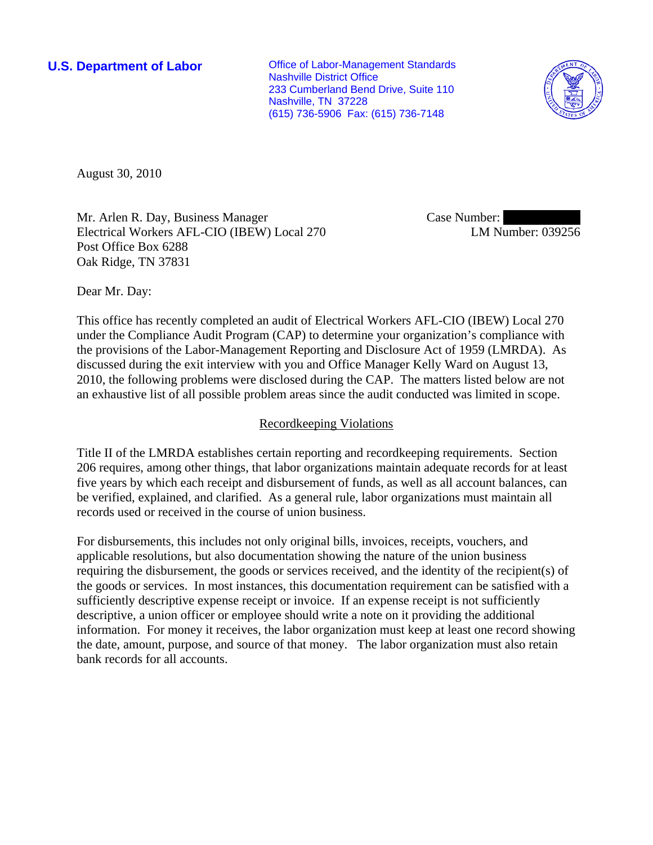**U.S. Department of Labor Conservative Conservative Conservative Conservative Conservative Conservative Conservative Conservative Conservative Conservative Conservative Conservative Conservative Conservative Conservative** Nashville District Office 233 Cumberland Bend Drive, Suite 110 Nashville, TN 37228 (615) 736-5906 Fax: (615) 736-7148



August 30, 2010

Mr. Arlen R. Day, Business Manager Electrical Workers AFL-CIO (IBEW) Local 270 Post Office Box 6288 Oak Ridge, TN 37831

Case Number: LM Number: 039256

Dear Mr. Day:

This office has recently completed an audit of Electrical Workers AFL-CIO (IBEW) Local 270 under the Compliance Audit Program (CAP) to determine your organization's compliance with the provisions of the Labor-Management Reporting and Disclosure Act of 1959 (LMRDA). As discussed during the exit interview with you and Office Manager Kelly Ward on August 13, 2010, the following problems were disclosed during the CAP. The matters listed below are not an exhaustive list of all possible problem areas since the audit conducted was limited in scope.

## Recordkeeping Violations

Title II of the LMRDA establishes certain reporting and recordkeeping requirements. Section 206 requires, among other things, that labor organizations maintain adequate records for at least five years by which each receipt and disbursement of funds, as well as all account balances, can be verified, explained, and clarified. As a general rule, labor organizations must maintain all records used or received in the course of union business.

For disbursements, this includes not only original bills, invoices, receipts, vouchers, and applicable resolutions, but also documentation showing the nature of the union business requiring the disbursement, the goods or services received, and the identity of the recipient(s) of the goods or services. In most instances, this documentation requirement can be satisfied with a sufficiently descriptive expense receipt or invoice. If an expense receipt is not sufficiently descriptive, a union officer or employee should write a note on it providing the additional information. For money it receives, the labor organization must keep at least one record showing the date, amount, purpose, and source of that money. The labor organization must also retain bank records for all accounts.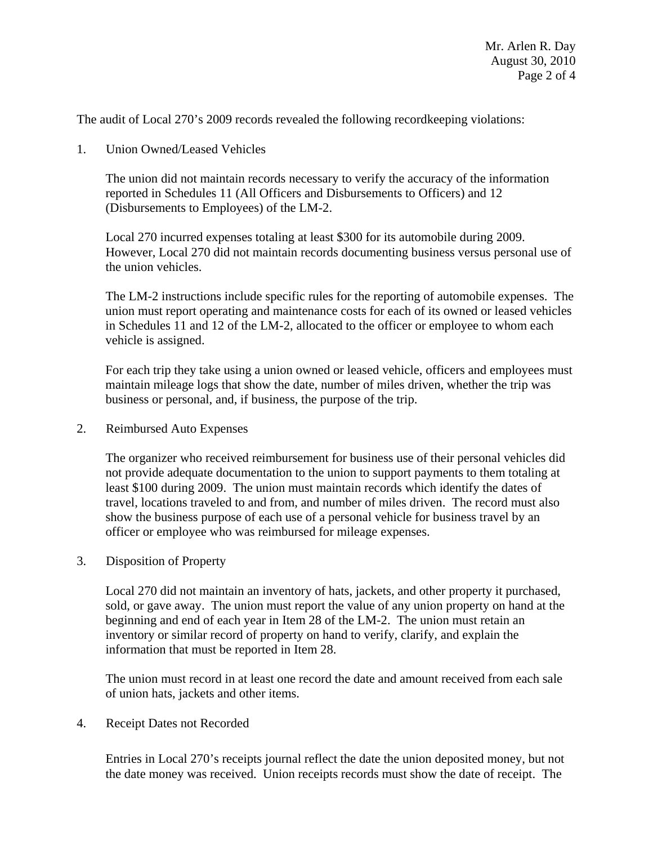The audit of Local 270's 2009 records revealed the following recordkeeping violations:

1. Union Owned/Leased Vehicles

The union did not maintain records necessary to verify the accuracy of the information reported in Schedules 11 (All Officers and Disbursements to Officers) and 12 (Disbursements to Employees) of the LM-2.

Local 270 incurred expenses totaling at least \$300 for its automobile during 2009. However, Local 270 did not maintain records documenting business versus personal use of the union vehicles.

The LM-2 instructions include specific rules for the reporting of automobile expenses. The union must report operating and maintenance costs for each of its owned or leased vehicles in Schedules 11 and 12 of the LM-2, allocated to the officer or employee to whom each vehicle is assigned.

For each trip they take using a union owned or leased vehicle, officers and employees must maintain mileage logs that show the date, number of miles driven, whether the trip was business or personal, and, if business, the purpose of the trip.

2. Reimbursed Auto Expenses

The organizer who received reimbursement for business use of their personal vehicles did not provide adequate documentation to the union to support payments to them totaling at least \$100 during 2009. The union must maintain records which identify the dates of travel, locations traveled to and from, and number of miles driven. The record must also show the business purpose of each use of a personal vehicle for business travel by an officer or employee who was reimbursed for mileage expenses.

3. Disposition of Property

Local 270 did not maintain an inventory of hats, jackets, and other property it purchased, sold, or gave away. The union must report the value of any union property on hand at the beginning and end of each year in Item 28 of the LM-2. The union must retain an inventory or similar record of property on hand to verify, clarify, and explain the information that must be reported in Item 28.

The union must record in at least one record the date and amount received from each sale of union hats, jackets and other items.

4. Receipt Dates not Recorded

Entries in Local 270's receipts journal reflect the date the union deposited money, but not the date money was received. Union receipts records must show the date of receipt. The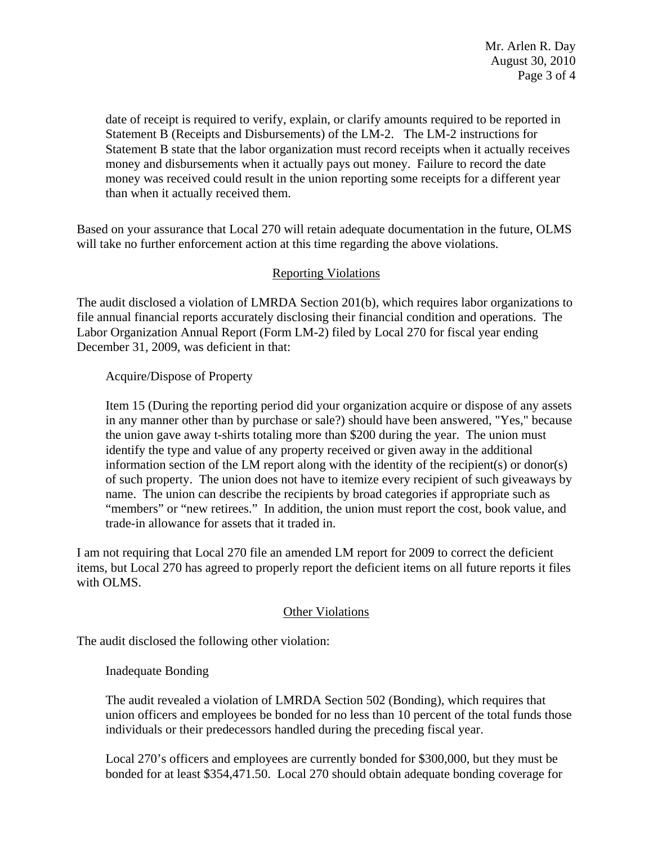date of receipt is required to verify, explain, or clarify amounts required to be reported in Statement B (Receipts and Disbursements) of the LM-2. The LM-2 instructions for Statement B state that the labor organization must record receipts when it actually receives money and disbursements when it actually pays out money. Failure to record the date money was received could result in the union reporting some receipts for a different year than when it actually received them.

Based on your assurance that Local 270 will retain adequate documentation in the future, OLMS will take no further enforcement action at this time regarding the above violations.

## Reporting Violations

The audit disclosed a violation of LMRDA Section 201(b), which requires labor organizations to file annual financial reports accurately disclosing their financial condition and operations. The Labor Organization Annual Report (Form LM-2) filed by Local 270 for fiscal year ending December 31, 2009, was deficient in that:

Acquire/Dispose of Property

Item 15 (During the reporting period did your organization acquire or dispose of any assets in any manner other than by purchase or sale?) should have been answered, "Yes," because the union gave away t-shirts totaling more than \$200 during the year. The union must identify the type and value of any property received or given away in the additional information section of the LM report along with the identity of the recipient(s) or donor(s) of such property. The union does not have to itemize every recipient of such giveaways by name. The union can describe the recipients by broad categories if appropriate such as "members" or "new retirees." In addition, the union must report the cost, book value, and trade-in allowance for assets that it traded in.

I am not requiring that Local 270 file an amended LM report for 2009 to correct the deficient items, but Local 270 has agreed to properly report the deficient items on all future reports it files with OLMS.

## Other Violations

The audit disclosed the following other violation:

Inadequate Bonding

The audit revealed a violation of LMRDA Section 502 (Bonding), which requires that union officers and employees be bonded for no less than 10 percent of the total funds those individuals or their predecessors handled during the preceding fiscal year.

Local 270's officers and employees are currently bonded for \$300,000, but they must be bonded for at least \$354,471.50. Local 270 should obtain adequate bonding coverage for